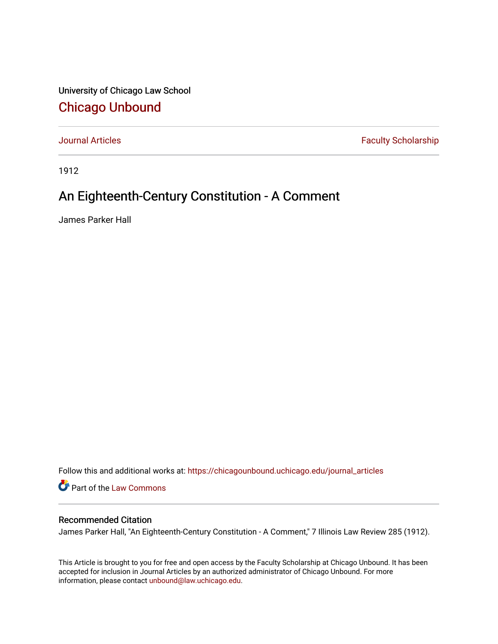University of Chicago Law School [Chicago Unbound](https://chicagounbound.uchicago.edu/)

[Journal Articles](https://chicagounbound.uchicago.edu/journal_articles) **Faculty Scholarship Faculty Scholarship** 

1912

## An Eighteenth-Century Constitution - A Comment

James Parker Hall

Follow this and additional works at: [https://chicagounbound.uchicago.edu/journal\\_articles](https://chicagounbound.uchicago.edu/journal_articles?utm_source=chicagounbound.uchicago.edu%2Fjournal_articles%2F8890&utm_medium=PDF&utm_campaign=PDFCoverPages) 

Part of the [Law Commons](http://network.bepress.com/hgg/discipline/578?utm_source=chicagounbound.uchicago.edu%2Fjournal_articles%2F8890&utm_medium=PDF&utm_campaign=PDFCoverPages)

## Recommended Citation

James Parker Hall, "An Eighteenth-Century Constitution - A Comment," 7 Illinois Law Review 285 (1912).

This Article is brought to you for free and open access by the Faculty Scholarship at Chicago Unbound. It has been accepted for inclusion in Journal Articles by an authorized administrator of Chicago Unbound. For more information, please contact [unbound@law.uchicago.edu](mailto:unbound@law.uchicago.edu).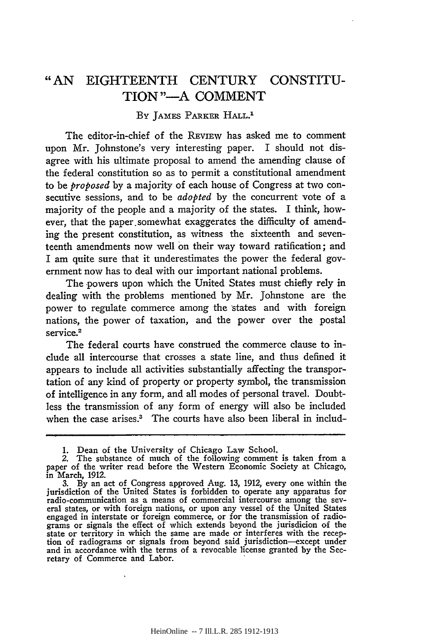## "AN EIGHTEENTH CENTURY CONSTITU-TION"-A COMMENT

## BY JAMES PARKER HALL.<sup>1</sup>

The editor-in-chief of the REVIEW has asked me to comment upon Mr. Johnstone's very interesting paper. I should not disagree with his ultimate proposal to amend the amending clause of the federal constitution so as to permit a constitutional amendment to be *proposed* by a majority of each house of Congress at two consecutive sessions, and to be *adopted* by the concurrent vote of a majority of the people and a majority of the states. I think, however, that the paper.somewhat exaggerates the difficulty of amending the present constitution, as witness the sixteenth and seventeenth amendments now well on their way toward ratification; and I am quite sure that it underestimates the power the federal government now has to deal with our important national problems.

The powers upon which the United States must chiefly rely in dealing with the problems mentioned by Mr. Johnstone are the power to regulate commerce among the states and with foreign nations, the power of taxation, and the power over the postal service.<sup>2</sup>

The federal courts have construed the commerce clause to include all intercourse that crosses a state line, and thus defined it appears to include all activities substantially affecting the transportation of any kind of property or property symbol, the transmission of intelligence in any form, and all modes of personal travel. Doubtless the transmission of any form of energy will also be included when the case arises.<sup>3</sup> The courts have also been liberal in includ-

<sup>1.</sup> Dean of the University of Chicago Law School. 2. The substance of much of the following comment is taken from a paper of the writer read before the Western Economic Society at Chicago, in March, **1912.**

<sup>3.</sup> By an act of Congress approved Aug. 13, 1912, every one within the jurisdiction of the United States is forbidden to operate any apparatus for radio-communication as a means of commercial intercourse among the sev- eral states, or with foreign nations, or upon any vessel of the United States engaged in interstate or foreign commerce, or for the transmission of radiograms or signals the effect of which extends beyond the jurisdicion of the state or territory in which the same are made or interferes with the reception of radiograms or signals from beyond said jurisdiction-except under and in accordance with the terms of a revocable license granted by the Secretary of Commerce and Labor.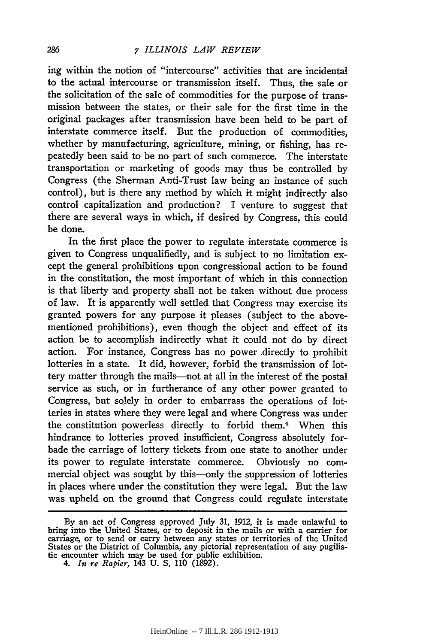ing within the notion of "intercourse" activities that are incidental to the actual intercourse or transmission itself. Thus, the sale or the solicitation of the sale of commodities for the purpose of transmission between the states, or their sale for the first time in the original packages after transmission have been held to be part of interstate commerce itself. But the production of commodities, whether by manufacturing, agriculture, mining, or fishing, has repeatedly been said to be no part of such commerce. The interstate transportation or marketing of goods may thus be controlled by Congress (the Sherman Anti-Trust law being an instance of such control), but is there any method by which it might indirectly also control capitalization and production? I venture to suggest that there are several ways in which, if desired by Congress, this could be done.

In the first place the power to regulate interstate commerce is given to Congress unqualifiedly, and is subject to no limitation except the general prohibitions upon congressional action to be found in the constitution, the most important of which in this connection is that liberty and property shall not be taken without due process of law. It is apparently well settled that Congress may exercise its granted powers for any purpose it pleases (subject to the abovementioned prohibitions), even though the object and effect of its action be to accomplish indirectly what it could not do by direct action. For instance, Congress has no power .directly to prohibit lotteries in a state. It did, however, forbid the transmission of lottery matter through the mails-not at all in the interest of the postal service as such, or in furtherance of any other power granted to Congress, but solely in order to embarrass the operations of lotteries in states where they were legal and where Congress was under the constitution powerless directly to forbid them.<sup>4</sup> When this hindrance to lotteries proved insufficient, Congress absolutely forbade the carriage of lottery tickets from one state to another under its power to regulate interstate commerce. Obviously no commercial object was sought by this—only the suppression of lotteries in places where under the constitution they were legal. But the law was upheld on the ground that Congress could regulate interstate

By an act of Congress approved July **31,** 1912, it is made unlawful to bring into the United States, or to deposit in the mails or with a carrier for carriage, or to send or carry between any states or territories of the United States or the District of Columbia, any pictorial representation of any pugilis- tic encounter which may be used for public exhibition.

<sup>4.</sup> *In re Rapier,* 143 U. S. 110 (1892).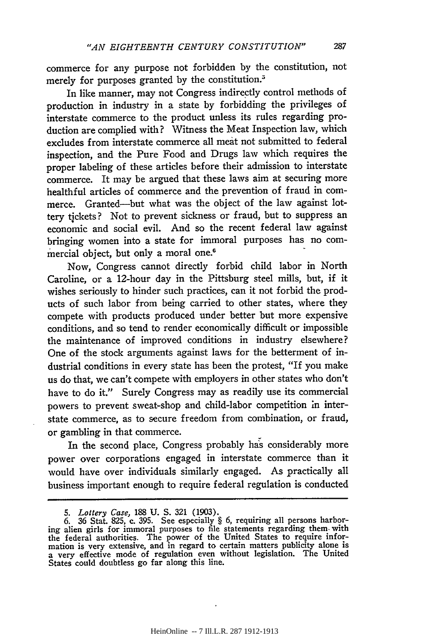commerce for any purpose not forbidden **by** the constitution, not merely for purposes granted **by** the constitution.5

In like manner, may not Congress indirectly control methods of production in industry in a state **by** forbidding the privileges of interstate commerce to the product unless its rules regarding production are complied with? Witness the Meat Inspection law, which excludes from interstate commerce all meat not submitted to federal inspection, and the Pure Food and Drugs law which requires the proper labeling of these articles before their admission to interstate commerce. It may be argued that these laws aim at securing more healthful articles of commerce and the prevention of fraud in commerce. Granted-but what was the object of the law against lottery tickets **?** Not to prevent sickness or fraud, but to suppress an economic and social evil. And so the recent federal law against bringing women into a state for immoral purposes has no commercial object, but only a moral one.<sup>6</sup>

Now, Congress cannot directly forbid child labor in North Caroline, or a 12-hour day in the Pittsburg steel mills, but, if it wishes seriously to hinder such practices, can it not forbid the products of such labor from being carried to other states, where they compete with products produced under better but more expensive conditions, and so tend to render economically difficult or impossible the maintenance of improved conditions in industry elsewhere? One of the stock arguments against laws for the betterment of industrial conditions in every state has been the protest, "If you make us do that, we can't compete with employers in other states who don't have to do it." Surely Congress may as readily use its commercial powers to prevent sweat-shop and child-labor competition in interstate commerce, as to secure freedom from combination, or fraud, or gambling in that commerce.

In the second place, Congress probably has considerably more power over corporations engaged in interstate commerce than it would have over individuals similarly engaged. As practically all business important enough to require federal regulation is conducted

287

*<sup>5.</sup> Lottery Case,* 188 **U. S.** 321 (1903). **6.** 36 Stat. **825,** c. **395.** See especially § **6,** requiring all persons harboring alien girls **for** immoral purposes to file statements regarding them- with the federal authorities. The power of the United States to require infor-mation is very extensive, and in regard to certain matters publicity alone is a very effective mode of regulation even without legislation. The United States could doubtless go far along this line.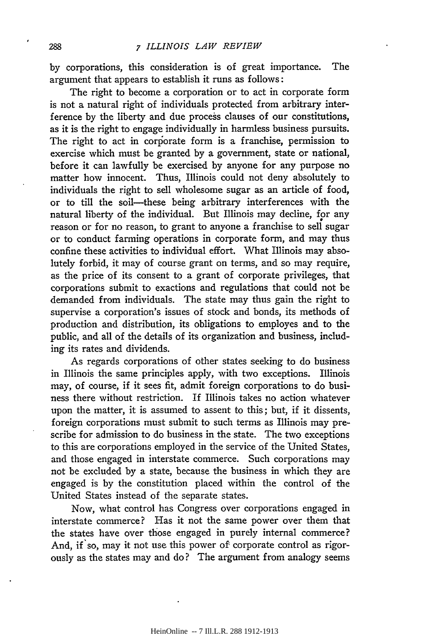by corporations, this consideration is of great importance. The argument that appears to establish it runs as follows:

The right to become a corporation or to act in corporate form is not a natural right of individuals protected from arbitrary interference by the liberty and due process clauses of our constitutions, as it is the right to engage individually in harmless business pursuits. The right to act in corporate form is a franchise, permission to exercise which must be granted by a government, state or national, before it can lawfully be exercised by anyone for any purpose no matter how innocent. Thus, Illinois could not deny absolutely to individuals the right to sell wholesome sugar as an article of food, or to till the soil-these being arbitrary interferences with the natural liberty of the individual. But Illinois may decline, for any reason or for no reason, to grant to anyone a franchise to sell sugar or to conduct farming operations in corporate form, and may thus confine these activities to individual effort. What Illinois may absolutely forbid, it may of course grant on terms, and so may require, as the price of its consent to a grant of corporate privileges, that corporations submit to exactions and regulations that could not be demanded from individuals. The state may thus gain the right to supervise a corporation's issues of stock and bonds, its methods of production and distribution, its obligations to employes and to the public, and all of the details of its organization and business, including its rates and dividends.

As regards corporations of other states seeking to do business in Illinois the same principles apply, with two exceptions. Illinois may, of course, if it sees fit, admit foreign corporations to do business there without restriction. If Illinois takes no action whatever upon the matter, it is assumed to assent to this; but, if it dissents, foreign corporations must submit to such terms as Illinois may prescribe for admission to do business in the state. The two exceptions to this are corporations employed in the service of the United States, and those engaged in interstate commerce. Such corporations may not be excluded by a state, because the business in which they are engaged is by the constitution placed within the control of the United States instead of the separate states.

Now, what control has Congress over corporations engaged in interstate commerce? Has it not the same power over them that the states have over those engaged in purely internal commerce? And, if'so, may it not use this power of corporate control as rigorously as the states may and do? The argument from analogy seems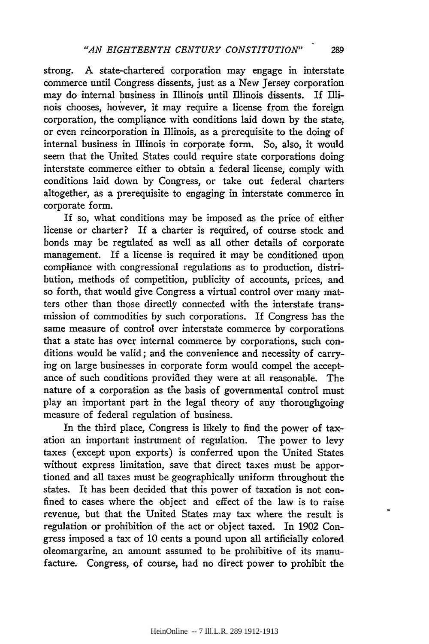strong. A state-chartered corporation may engage in interstate commerce until Congress dissents, just as a New Jersey corporation may do internal business in Illinois until Illinois dissents. If Illinois chooses, hovever, it may require a license from the foreign corporation, the compliance with conditions laid down by the state, or even reincorporation in Illinois, as a prerequisite to the doing of internal business in Illinois in corporate form. So, also, it would seem that the United States could require state corporations doing interstate commerce either to obtain a federal license, comply with conditions laid down by Congress, or take out federal charters altogether, as a prerequisite to engaging in interstate commerce in corporate form.

If so, what conditions may be imposed as the price of either license or charter? If a charter is required, of course stock and bonds may be regulated as well as all other details of corporate management. If a license is required it may be conditioned upon compliance with congressional regulations as to production, distribution, methods of competition, publicity of accounts, prices, and so forth, that would give Congress a virtual control over many matters other than those directly connected with the interstate transmission of commodities by such corporations. If Congress has the same measure of control over interstate commerce by corporations that a state has over internal commerce by corporations, such conditions would be valid; and the convenience and necessity of carrying on large businesses in corporate form would compel the acceptance of such conditions provided they were at all reasonable. The nature of a corporation as the basis of governmental control must play an important part in the legal theory of any thoroughgoing measure of federal regulation of business.

In the third place, Congress is likely to find the power of taxation an important instrument of regulation. The power to levy taxes (except upon exports) is conferred upon the United States without express limitation, save that direct taxes must be apportioned and all taxes must be geographically uniform throughout the states. It has been decided that this power of taxation is not confined to cases where the object and effect of the law is to raise revenue, but that the United States may tax where the result is regulation or prohibition of the act or object taxed. In 1902 Congress imposed a tax of 10 cents a pound upon all artificially colored oleomargarine, an amount assumed to be prohibitive of its manufacture. Congress, of course, had no direct power to prohibit the

289